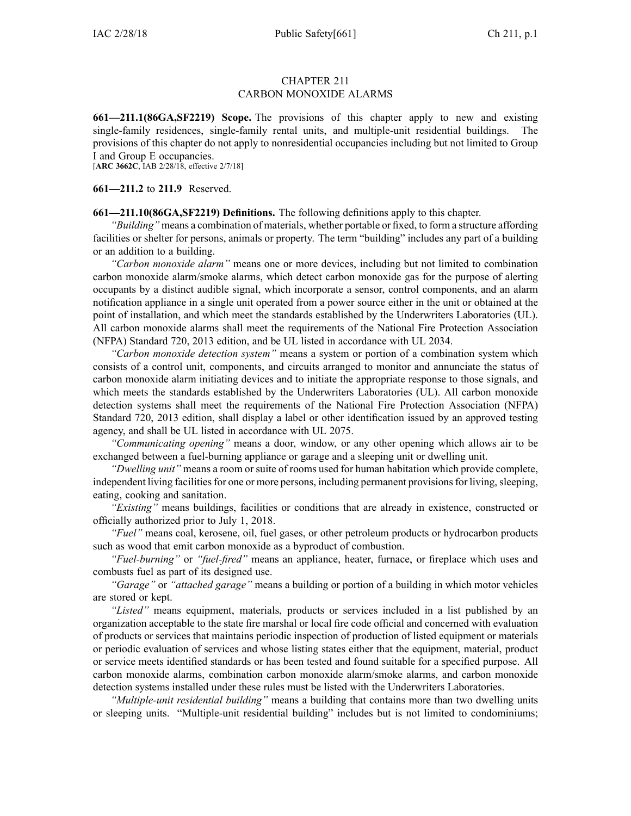### CHAPTER 211 CARBON MONOXIDE ALARMS

**661—211.1(86GA,SF2219) Scope.** The provisions of this chapter apply to new and existing single-family residences, single-family rental units, and multiple-unit residential buildings. The provisions of this chapter do not apply to nonresidential occupancies including but not limited to Group I and Group E occupancies.

[**ARC [3662C](https://www.legis.iowa.gov/docs/aco/arc/3662C.pdf)**, IAB 2/28/18, effective 2/7/18]

**661—211.2** to **211.9** Reserved.

**661—211.10(86GA,SF2219) Definitions.** The following definitions apply to this chapter.

*"Building"* means <sup>a</sup> combination of materials, whether portable or fixed, to form <sup>a</sup> structure affording facilities or shelter for persons, animals or property. The term "building" includes any par<sup>t</sup> of <sup>a</sup> building or an addition to <sup>a</sup> building.

*"Carbon monoxide alarm"* means one or more devices, including but not limited to combination carbon monoxide alarm/smoke alarms, which detect carbon monoxide gas for the purpose of alerting occupants by <sup>a</sup> distinct audible signal, which incorporate <sup>a</sup> sensor, control components, and an alarm notification appliance in <sup>a</sup> single unit operated from <sup>a</sup> power source either in the unit or obtained at the point of installation, and which meet the standards established by the Underwriters Laboratories (UL). All carbon monoxide alarms shall meet the requirements of the National Fire Protection Association (NFPA) Standard 720, 2013 edition, and be UL listed in accordance with UL 2034.

*"Carbon monoxide detection system"* means <sup>a</sup> system or portion of <sup>a</sup> combination system which consists of <sup>a</sup> control unit, components, and circuits arranged to monitor and annunciate the status of carbon monoxide alarm initiating devices and to initiate the appropriate response to those signals, and which meets the standards established by the Underwriters Laboratories (UL). All carbon monoxide detection systems shall meet the requirements of the National Fire Protection Association (NFPA) Standard 720, 2013 edition, shall display <sup>a</sup> label or other identification issued by an approved testing agency, and shall be UL listed in accordance with UL 2075.

*"Communicating opening"* means <sup>a</sup> door, window, or any other opening which allows air to be exchanged between a fuel-burning appliance or garage and a sleeping unit or dwelling unit.

*"Dwelling unit"* means <sup>a</sup> room or suite of rooms used for human habitation which provide complete, independent living facilities for one or more persons, including permanent provisions for living, sleeping, eating, cooking and sanitation.

*"Existing"* means buildings, facilities or conditions that are already in existence, constructed or officially authorized prior to July 1, 2018.

*"Fuel"* means coal, kerosene, oil, fuel gases, or other petroleum products or hydrocarbon products such as wood that emit carbon monoxide as <sup>a</sup> byproduct of combustion.

*"Fuel-burning"* or *"fuel-fired"* means an appliance, heater, furnace, or fireplace which uses and combusts fuel as par<sup>t</sup> of its designed use.

*"Garage"* or *"attached garage"* means <sup>a</sup> building or portion of <sup>a</sup> building in which motor vehicles are stored or kept.

*"Listed"* means equipment, materials, products or services included in <sup>a</sup> list published by an organization acceptable to the state fire marshal or local fire code official and concerned with evaluation of products or services that maintains periodic inspection of production of listed equipment or materials or periodic evaluation of services and whose listing states either that the equipment, material, product or service meets identified standards or has been tested and found suitable for <sup>a</sup> specified purpose. All carbon monoxide alarms, combination carbon monoxide alarm/smoke alarms, and carbon monoxide detection systems installed under these rules must be listed with the Underwriters Laboratories.

*"Multiple-unit residential building"* means <sup>a</sup> building that contains more than two dwelling units or sleeping units. "Multiple-unit residential building" includes but is not limited to condominiums;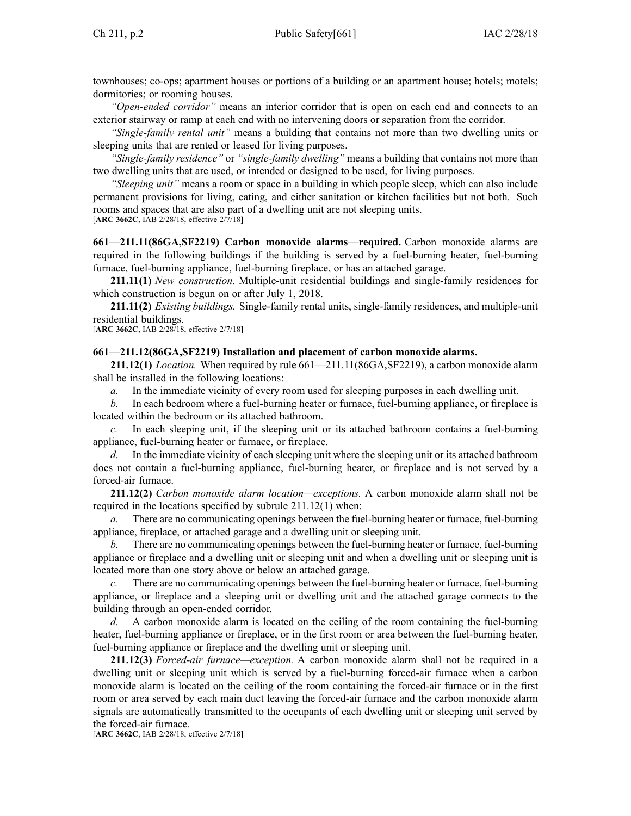townhouses; co-ops; apartment houses or portions of <sup>a</sup> building or an apartment house; hotels; motels; dormitories; or rooming houses.

*"Open-ended corridor"* means an interior corridor that is open on each end and connects to an exterior stairway or ramp at each end with no intervening doors or separation from the corridor.

*"Single-family rental unit"* means <sup>a</sup> building that contains not more than two dwelling units or sleeping units that are rented or leased for living purposes.

*"Single-family residence"* or *"single-family dwelling"* means <sup>a</sup> building that contains not more than two dwelling units that are used, or intended or designed to be used, for living purposes.

*"Sleeping unit"* means <sup>a</sup> room or space in <sup>a</sup> building in which people sleep, which can also include permanen<sup>t</sup> provisions for living, eating, and either sanitation or kitchen facilities but not both. Such rooms and spaces that are also par<sup>t</sup> of <sup>a</sup> dwelling unit are not sleeping units. [**ARC [3662C](https://www.legis.iowa.gov/docs/aco/arc/3662C.pdf)**, IAB 2/28/18, effective 2/7/18]

**661—211.11(86GA,SF2219) Carbon monoxide alarms—required.** Carbon monoxide alarms are required in the following buildings if the building is served by <sup>a</sup> fuel-burning heater, fuel-burning furnace, fuel-burning appliance, fuel-burning fireplace, or has an attached garage.

**211.11(1)** *New construction.* Multiple-unit residential buildings and single-family residences for which construction is begun on or after July 1, 2018.

**211.11(2)** *Existing buildings.* Single-family rental units, single-family residences, and multiple-unit residential buildings.

[**ARC [3662C](https://www.legis.iowa.gov/docs/aco/arc/3662C.pdf)**, IAB 2/28/18, effective 2/7/18]

#### **661—211.12(86GA,SF2219) Installation and placement of carbon monoxide alarms.**

**211.12(1)** *Location.* When required by rule [661—211.11](https://www.legis.iowa.gov/docs/iac/rule/661.211.11.pdf)(86GA,SF2219), <sup>a</sup> carbon monoxide alarm shall be installed in the following locations:

*a.* In the immediate vicinity of every room used for sleeping purposes in each dwelling unit.

*b.* In each bedroom where <sup>a</sup> fuel-burning heater or furnace, fuel-burning appliance, or fireplace is located within the bedroom or its attached bathroom.

In each sleeping unit, if the sleeping unit or its attached bathroom contains a fuel-burning appliance, fuel-burning heater or furnace, or fireplace.

*d.* In the immediate vicinity of each sleeping unit where the sleeping unit or its attached bathroom does not contain <sup>a</sup> fuel-burning appliance, fuel-burning heater, or fireplace and is not served by <sup>a</sup> forced-air furnace.

**211.12(2)** *Carbon monoxide alarm location—exceptions.* A carbon monoxide alarm shall not be required in the locations specified by subrule [211.12\(1\)](https://www.legis.iowa.gov/docs/iac/rule/661.211.12.pdf) when:

There are no communicating openings between the fuel-burning heater or furnace, fuel-burning appliance, fireplace, or attached garage and <sup>a</sup> dwelling unit or sleeping unit.

*b.* There are no communicating openings between the fuel-burning heater or furnace, fuel-burning appliance or fireplace and <sup>a</sup> dwelling unit or sleeping unit and when <sup>a</sup> dwelling unit or sleeping unit is located more than one story above or below an attached garage.

There are no communicating openings between the fuel-burning heater or furnace, fuel-burning appliance, or fireplace and <sup>a</sup> sleeping unit or dwelling unit and the attached garage connects to the building through an open-ended corridor.

*d.* A carbon monoxide alarm is located on the ceiling of the room containing the fuel-burning heater, fuel-burning appliance or fireplace, or in the first room or area between the fuel-burning heater, fuel-burning appliance or fireplace and the dwelling unit or sleeping unit.

**211.12(3)** *Forced-air furnace—exception.* A carbon monoxide alarm shall not be required in <sup>a</sup> dwelling unit or sleeping unit which is served by <sup>a</sup> fuel-burning forced-air furnace when <sup>a</sup> carbon monoxide alarm is located on the ceiling of the room containing the forced-air furnace or in the first room or area served by each main duct leaving the forced-air furnace and the carbon monoxide alarm signals are automatically transmitted to the occupants of each dwelling unit or sleeping unit served by the forced-air furnace.

[**ARC [3662C](https://www.legis.iowa.gov/docs/aco/arc/3662C.pdf)**, IAB 2/28/18, effective 2/7/18]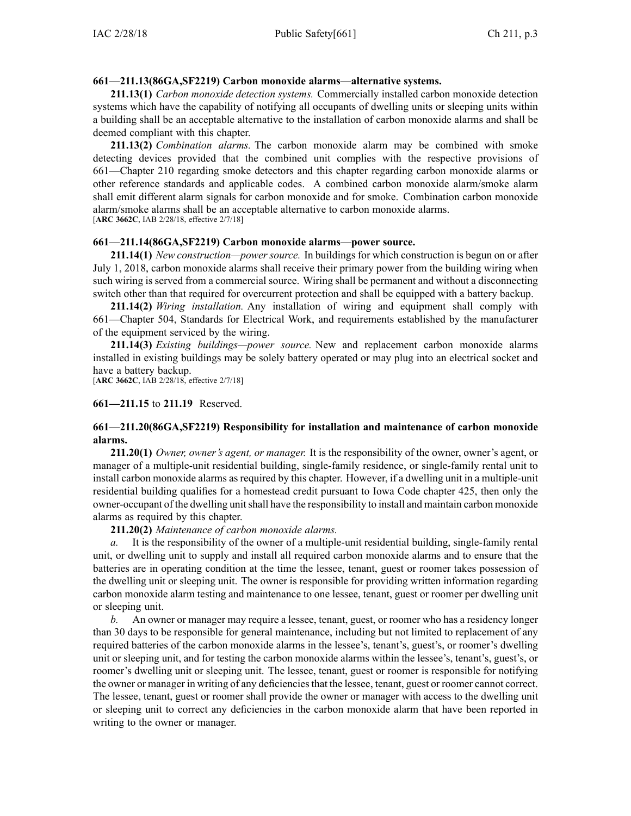## **661—211.13(86GA,SF2219) Carbon monoxide alarms—alternative systems.**

**211.13(1)** *Carbon monoxide detection systems.* Commercially installed carbon monoxide detection systems which have the capability of notifying all occupants of dwelling units or sleeping units within <sup>a</sup> building shall be an acceptable alternative to the installation of carbon monoxide alarms and shall be deemed compliant with this chapter.

**211.13(2)** *Combination alarms.* The carbon monoxide alarm may be combined with smoke detecting devices provided that the combined unit complies with the respective provisions of [661—Chapter](https://www.legis.iowa.gov/docs/iac/chapter/661.210.pdf) 210 regarding smoke detectors and this chapter regarding carbon monoxide alarms or other reference standards and applicable codes. A combined carbon monoxide alarm/smoke alarm shall emit different alarm signals for carbon monoxide and for smoke. Combination carbon monoxide alarm/smoke alarms shall be an acceptable alternative to carbon monoxide alarms. [**ARC [3662C](https://www.legis.iowa.gov/docs/aco/arc/3662C.pdf)**, IAB 2/28/18, effective 2/7/18]

#### **661—211.14(86GA,SF2219) Carbon monoxide alarms—power source.**

**211.14(1)** *New construction—power source.* In buildings for which construction is begun on or after July 1, 2018, carbon monoxide alarms shall receive their primary power from the building wiring when such wiring is served from <sup>a</sup> commercial source. Wiring shall be permanen<sup>t</sup> and without <sup>a</sup> disconnecting switch other than that required for overcurrent protection and shall be equipped with <sup>a</sup> battery backup.

**211.14(2)** *Wiring installation.* Any installation of wiring and equipment shall comply with [661—Chapter](https://www.legis.iowa.gov/docs/iac/chapter/661.504.pdf) 504, Standards for Electrical Work, and requirements established by the manufacturer of the equipment serviced by the wiring.

**211.14(3)** *Existing buildings—power source.* New and replacement carbon monoxide alarms installed in existing buildings may be solely battery operated or may plug into an electrical socket and have <sup>a</sup> battery backup.

[**ARC [3662C](https://www.legis.iowa.gov/docs/aco/arc/3662C.pdf)**, IAB 2/28/18, effective 2/7/18]

**661—211.15** to **211.19** Reserved.

## **661—211.20(86GA,SF2219) Responsibility for installation and maintenance of carbon monoxide alarms.**

**211.20(1)** *Owner, owner's agent, or manager.* It is the responsibility of the owner, owner's agent, or manager of <sup>a</sup> multiple-unit residential building, single-family residence, or single-family rental unit to install carbon monoxide alarms as required by this chapter. However, if <sup>a</sup> dwelling unit in <sup>a</sup> multiple-unit residential building qualifies for <sup>a</sup> homestead credit pursuan<sup>t</sup> to Iowa Code chapter [425](https://www.legis.iowa.gov/docs/ico/chapter/2018/425.pdf), then only the owner-occupant of the dwelling unit shall have the responsibility to install and maintain carbon monoxide alarms as required by this chapter.

**211.20(2)** *Maintenance of carbon monoxide alarms.*

*a.* It is the responsibility of the owner of <sup>a</sup> multiple-unit residential building, single-family rental unit, or dwelling unit to supply and install all required carbon monoxide alarms and to ensure that the batteries are in operating condition at the time the lessee, tenant, gues<sup>t</sup> or roomer takes possession of the dwelling unit or sleeping unit. The owner is responsible for providing written information regarding carbon monoxide alarm testing and maintenance to one lessee, tenant, gues<sup>t</sup> or roomer per dwelling unit or sleeping unit.

*b.* An owner or manager may require <sup>a</sup> lessee, tenant, guest, or roomer who has <sup>a</sup> residency longer than 30 days to be responsible for general maintenance, including but not limited to replacement of any required batteries of the carbon monoxide alarms in the lessee's, tenant's, guest's, or roomer's dwelling unit or sleeping unit, and for testing the carbon monoxide alarms within the lessee's, tenant's, guest's, or roomer's dwelling unit or sleeping unit. The lessee, tenant, gues<sup>t</sup> or roomer is responsible for notifying the owner or manager in writing of any deficienciesthat the lessee, tenant, gues<sup>t</sup> or roomer cannot correct. The lessee, tenant, gues<sup>t</sup> or roomer shall provide the owner or manager with access to the dwelling unit or sleeping unit to correct any deficiencies in the carbon monoxide alarm that have been reported in writing to the owner or manager.